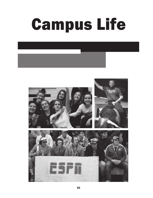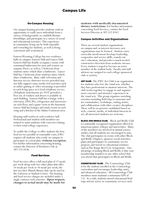# On-Campus Housing

On-campus housing provides students with an opportunity to easily meet individuals from a variety of backgrounds, to establish lifetime friendships, and participate in a variety of social and educational activities. This experience in community living can be both enjoyable and rewarding for students, as well as being convenient and economical.

Eastern Wyoming College has two residence halls on campus: Eastern Hall and Lancer Hall. Eastern Hall has double occupancy rooms with communal bathrooms for men and women on separate floors, as well as 2 bedroom (fourstudent) suites which share a bathroom. Lancer Hall has 2 bedroom (four-student) suites which share a bathroom. Basic cable television and Internet service (Internet service provided may not fully support some media-rich activities such as online gaming or video streaming) is provided in each living space as is local telephone service. (Telephone instruments are NOT provided.) Free use of washers and dryers is available in each building. Eastern Hall has a lounge with a television, DVD, Wii, refrigerator and microwave on each floor, and a game room in the basement. Lancer Hall has lounges and study rooms in each wing and a kitchen in the Atkins Commons area.

Housing staff resides in each residence hall. Professional and student staff members are trained to assist students with concerns relating to their total college experience.

To enable the College to offer students the best food service possible at reasonable costs, EWC requires all students who reside on campus to participate in a meal plan, **without exception.**  For further information concerning housing, contact the Director of Residence Life at 307.532.8336.

# Food Services

Food Services offers a full meal plan of 17 meals per week along with two other plans that offer 14 meals per week or 10 meals per week; the last two have Munch Money that can be used in the Cafeteria or Student Center. The housing and food service charges are included under a single contract each semester. **Upon request, changes to actual meals may be made for** 

**students with medically documented dietary restrictions.** For further information concerning Food Services, contact the Food Services Director at 307.532.8342.

## Campus Activities and Organizations

There are several student organizations on campus and, as interest increases, new organizations may be formed. Student extracurricular involvement develops leadership, cooperative and service skills, rounds out one's education, and provides a much needed constructive diversion from academic stresses. Every student is urged to become an active member of the student body. Faculty and staff advisors are assigned to each college-sponsored club or activity.

**ART CLUB:** The EWC Art Club is an organization for students who love the visual arts, whether they have professional or amateur interests. The club works together to engage in and organize more extensive and intensive experiences in the visual arts. This group organizes enriching activities including field trips to museums and art communities, workshops, visiting artists, and collaboration with other creative disciplines. There will be no priority established based on style, content, media, or individual interests in art; all interested students are welcome.

**BLOCK AND BRIDLE CLUB:** Block and Bridle Club is a nationally recognized organization offered at numerous junior colleges and universities. Many of the members are involved in animal science studies, but all students are encouraged to join. The club participates in events with other Block and Bridle Chapters, sponsors social activities, plans and participates in community service projects, and travels to educational seminars such as The Range Beef Cow Symposium. One advantage of joining Block and Bridle is that your membership transfers to any other school that you attend that participates in Block and Bridle.

**COSMETOLOGY CLUB:** The Cosmetology Club is for the student enrolled in the Cosmetology curriculum and encourages leadership, unity, and advanced education. All Cosmetology Club members must maintain a minimum GPA of 2.0. As a club, students attend educational field trips and are active in community services such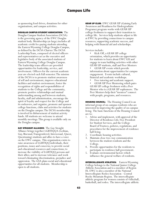as sponsoring food drives, donations for other organizations, and campus activities.

DOUGLAS CAMPUS STUDENT ASSOCIATION: The Douglas Campus Student Association (DCSA) is the governing agency of the EWC Douglas student body. Membership (at-large) includes all academic credit fee-paying students attending the Eastern Wyoming College Douglas Campus, as defined by the DCSA Charter. The DCSA Leadership Team, composed of elected officers and representatives act as the executive and legislative body of the associated students of Eastern Wyoming College Douglas Campus. The leadership team officers are provided opportunities for leadership, service, and involvement. Officers for the current academic year are elected each Fall semester. The mission of the DCSA is to promote student awareness of self and environment, improve educational facilities and student environment, foster the recognition of rights and responsibilities of students to the College and the community, promote positive relationships and mutual understanding among and between students, faculty, staff and administration, encourage the spirit of loyalty and respect for the College and its endeavors, and organize, promote and sponsor college functions, clubs and activities for students on the Douglas campus. The DCSA membership is involved in disbursement of student activity funds. All students are welcome to attend monthly meetings. This group is available only on the Douglas campus.

GAY STRAIGHT ALLIANCE: The Gay Straight Alliance brings together LGBTIQQA (Lesbian, Gay, Bisexual, Transgendered, Intersexual, Queer, Questioning) students and allies to have a voice on the EWC campus. This organization exists to raise awareness of LGBTIQQ individuals, their positions, issues and concerns; to provide social and educational resources and connections; to increase the visibility of LGBTIQQ persons and their allies; and to increase tolerance and work toward eliminating discrimination, prejudice and oppression. The GSA plans social and educational opportunities for all students. Membership is open to all students.

**GEAR UP CLUB:** EWC GEAR UP (Gaining Early Awareness and Readiness for Undergraduate Programs) program works with GEAR UP college freshmen to support their transition to college life. Services help students adjust to life at EWC by providing connections to campus resources, supporting academic success, and helping with financial aid and scholarships.

Services include: • Kick Off, a GEAR UP college orientation, which provides an opportunity for students to learn about EWC GU and engage in team building activities with other GEAR UP students, staff and Peer Mentors

• GEAR UP events which provide information about opportunities for campus engagement. Events include cultural, financial and academic workshops.

Free tutoring and academic support.<br>GEAR UP Peer Mentoring which pairs GEAR UP college freshmen with a Peer Mentor who is a GEAR UP sophomore. The Peer Mentors help their "mentees" connect with people, programs, and resources.

HOUSING COUNCIL: The Housing Council is an informal group of on-campus residents who are interested in improving the quality of on-campus living. The basic functions of the Housing Council are to:

- 1. Advise and implement, with approval of the Director of Residence Life, Vice President for Student Services, and the College Board of Trustees, policies, regulations, and procedures for the improvement of residence hall living.
- 2. Coordinate housing activities.
- 3. Maintain close two-way communication between the student residents and the College.
- 4. Provide opportunities for the residents to participate in residence hall government.
- 5. Evaluate environmental factors which influence the general welfare of residents.

INTERCOLLEGIATE ATHLETICS: Eastern Wyoming College belongs to the National Junior College Athletic Association and is a member of Region IX. EWC is also a member of the National Intercollegiate Rodeo Association - Central Rocky Mountain Region. The intercollegiate athletic program for women consists of volleyball, basketball, and rodeo. The intercollegiate athletic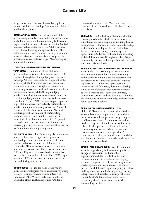program for men consists of basketball, golf and rodeo. Athletic scholarships/grants are available in all of these sports.

**INTERNATIONAL CLUB:** The International Club provides opportunities to broaden the world views of students, staff, and the community to learn and experience the various cultures here in the United States as well as worldwide. The Club's purpose is to enhance thinking and appreciation of other cultures, people, and traditions through a number of social activities, community service projects, presentations, and cultural trips. Membership is open to all students.

#### LIVESTOCK JUDGING/SHOWING AND FITTING

**TEAM CLUB:** The mission of the club is to provide educational activities to interested EWC students through livestock judging and livestock showing. Objectives include development of the following skills: leadership skills as Club officers, communication skills through oral reasons and fundraising activities, social skills as club members, and decision-making skills through judging practices and show animal selection and contests. Livestock judging club members must be or have enrolled in ANSC 1210. In order to participate in trips, club members must actively participate in practice and club fundraising activities. National contests like the American Royal and National Western preset the number of participating team members. Team members must be fulltime students with a minimum 2.0 GPA, passed 12 credit hours the previous semester, and be currently passing all classes. Team selection will be based upon ability and participation.

**PHI THETA KAPPA:** Phi Theta Kappa is an academic honor society that recognizes and promotes scholarship, leadership, and service. Full-time students who have attained a minimum 3.5 cumulative GPA in twelve or more credit hours in a degree program are eligible for membership. Phi Theta Kappa is the recognized academic honor society for community colleges. The EWC chapter began in 1989 and initiates new members in the Fall and Spring semesters.

**RODEO CLUB:** The Rodeo Club is designed to promote intercollegiate rodeo at Eastern Wyoming College. It supports an increased interest in rodeos and other Western activities, and helps establish a closer relationship among students

interested in this activity. The rodeo team is a member of the National Intercollegiate Rodeo Association.

**SkillsUSA:** The SkillsUSA professional chapter is an organization for students in technical, skilled, and service occupations including health occupations. It focuses on leadership, citizenship, and character development. The club offers Eastern Wyoming College students special opportunities to further enhance their schooling and skill development through activities, trips, community service, and competitions at the local, state, and national level.

#### SkillsUSA / WELDING & MACHINE TOOL DIVISION:

EWC SkillsUSA / Welding and Machine Tool Division provides students who are welding and machine tooling majors the opportunity to participate in an "industrial-oriented" student organization. Students may participate in industry related field trips, develop leadership skills, attend club sponsored forums, compete at state competitions/leadership activities, community service, and social events. Activities are planned to enhance knowledge and awareness for all students involved.

SkillsUSA / BUSINESS DIVISION: EWC SkillsUSA/Business Division provides students who are business, computer science, and nonbusiness majors the opportunity to participate in a "business-oriented" student organization. Students may participate in business/industry related field trips, develop leadership skills, community service, attend club sponsored forums, compete at state competitions/ leadership activities, and social events. Activities are planned to enhance knowledge and awareness for all students involved.

**SPEECH AND DEBATE CLUB:** Provides students with the opportunity to learn about politics, engage in discussions, and hone their argumentation skills. Central to the club is discussion of current events and developing structured arguments that provide insight into local, regional, and world issues. The speech part of the club focuses upon analyzing literature, crafting speeches, and fostering change through interpretation of literature cuttings. The club is open to all students who are interested in learning about rhetoric and the world surrounding our lives.